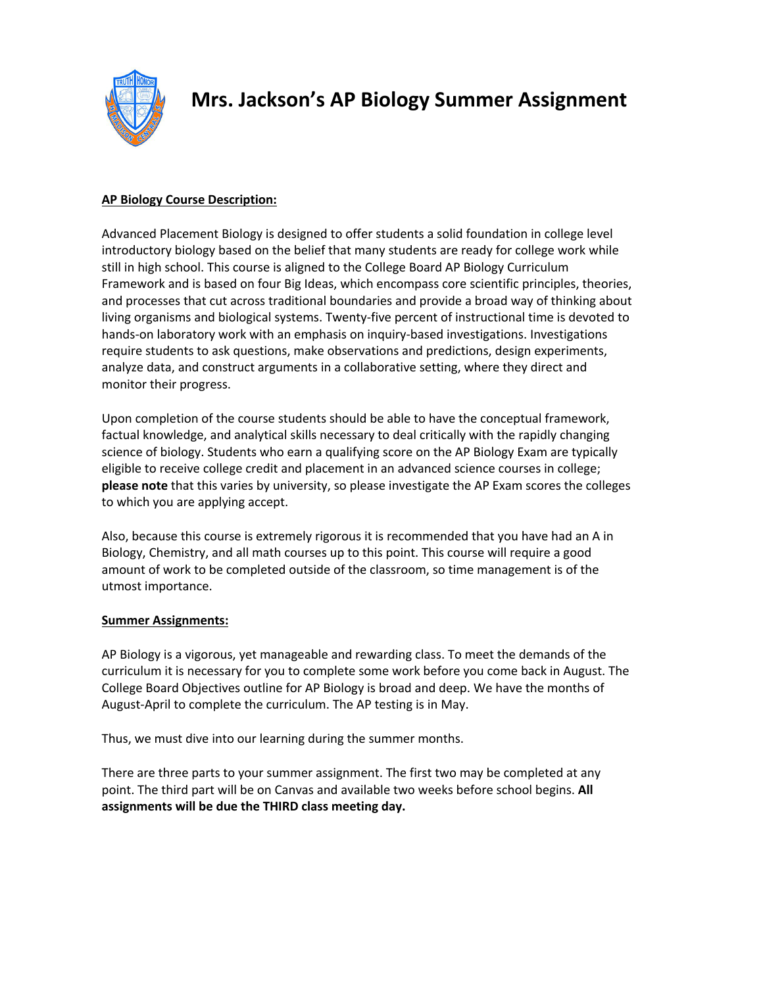

**Mrs. Jackson's AP Biology Summer Assignment**

### **AP Biology Course Description:**

Advanced Placement Biology is designed to offer students a solid foundation in college level introductory biology based on the belief that many students are ready for college work while still in high school. This course is aligned to the College Board AP Biology Curriculum Framework and is based on four Big Ideas, which encompass core scientific principles, theories, and processes that cut across traditional boundaries and provide a broad way of thinking about living organisms and biological systems. Twenty-five percent of instructional time is devoted to hands-on laboratory work with an emphasis on inquiry-based investigations. Investigations require students to ask questions, make observations and predictions, design experiments, analyze data, and construct arguments in a collaborative setting, where they direct and monitor their progress.

Upon completion of the course students should be able to have the conceptual framework, factual knowledge, and analytical skills necessary to deal critically with the rapidly changing science of biology. Students who earn a qualifying score on the AP Biology Exam are typically eligible to receive college credit and placement in an advanced science courses in college; **please note** that this varies by university, so please investigate the AP Exam scores the colleges to which you are applying accept.

Also, because this course is extremely rigorous it is recommended that you have had an A in Biology, Chemistry, and all math courses up to this point. This course will require a good amount of work to be completed outside of the classroom, so time management is of the utmost importance.

#### **Summer Assignments:**

AP Biology is a vigorous, yet manageable and rewarding class. To meet the demands of the curriculum it is necessary for you to complete some work before you come back in August. The College Board Objectives outline for AP Biology is broad and deep. We have the months of August-April to complete the curriculum. The AP testing is in May.

Thus, we must dive into our learning during the summer months.

There are three parts to your summer assignment. The first two may be completed at any point. The third part will be on Canvas and available two weeks before school begins. **All assignments will be due the THIRD class meeting day.**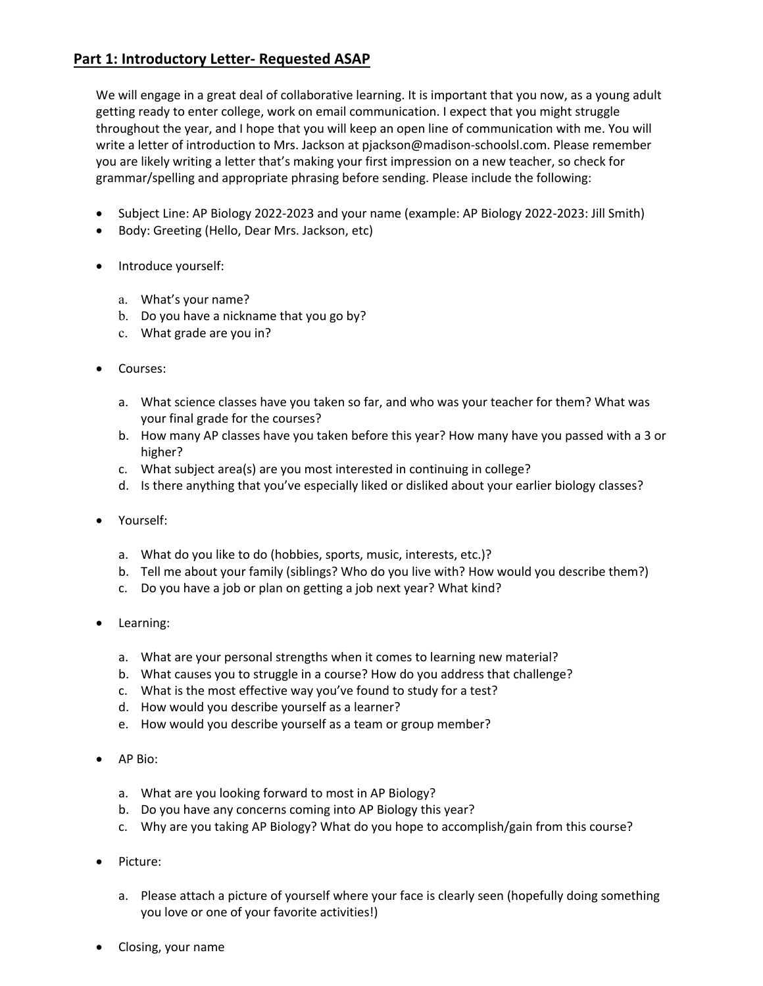# **Part 1: Introductory Letter- Requested ASAP**

We will engage in a great deal of collaborative learning. It is important that you now, as a young adult getting ready to enter college, work on email communication. I expect that you might struggle throughout the year, and I hope that you will keep an open line of communication with me. You will write a letter of introduction to Mrs. Jackson at pjackson@madison-schoolsl.com. Please remember you are likely writing a letter that's making your first impression on a new teacher, so check for grammar/spelling and appropriate phrasing before sending. Please include the following:

- Subject Line: AP Biology 2022-2023 and your name (example: AP Biology 2022-2023: Jill Smith)
- Body: Greeting (Hello, Dear Mrs. Jackson, etc)
- Introduce yourself:
	- a. What's your name?
	- b. Do you have a nickname that you go by?
	- c. What grade are you in?
- Courses:
	- a. What science classes have you taken so far, and who was your teacher for them? What was your final grade for the courses?
	- b. How many AP classes have you taken before this year? How many have you passed with a 3 or higher?
	- c. What subject area(s) are you most interested in continuing in college?
	- d. Is there anything that you've especially liked or disliked about your earlier biology classes?
- Yourself:
	- a. What do you like to do (hobbies, sports, music, interests, etc.)?
	- b. Tell me about your family (siblings? Who do you live with? How would you describe them?)
	- c. Do you have a job or plan on getting a job next year? What kind?
- Learning:
	- a. What are your personal strengths when it comes to learning new material?
	- b. What causes you to struggle in a course? How do you address that challenge?
	- c. What is the most effective way you've found to study for a test?
	- d. How would you describe yourself as a learner?
	- e. How would you describe yourself as a team or group member?
- AP Bio:
	- a. What are you looking forward to most in AP Biology?
	- b. Do you have any concerns coming into AP Biology this year?
	- c. Why are you taking AP Biology? What do you hope to accomplish/gain from this course?
- Picture:
	- a. Please attach a picture of yourself where your face is clearly seen (hopefully doing something you love or one of your favorite activities!)
- Closing, your name